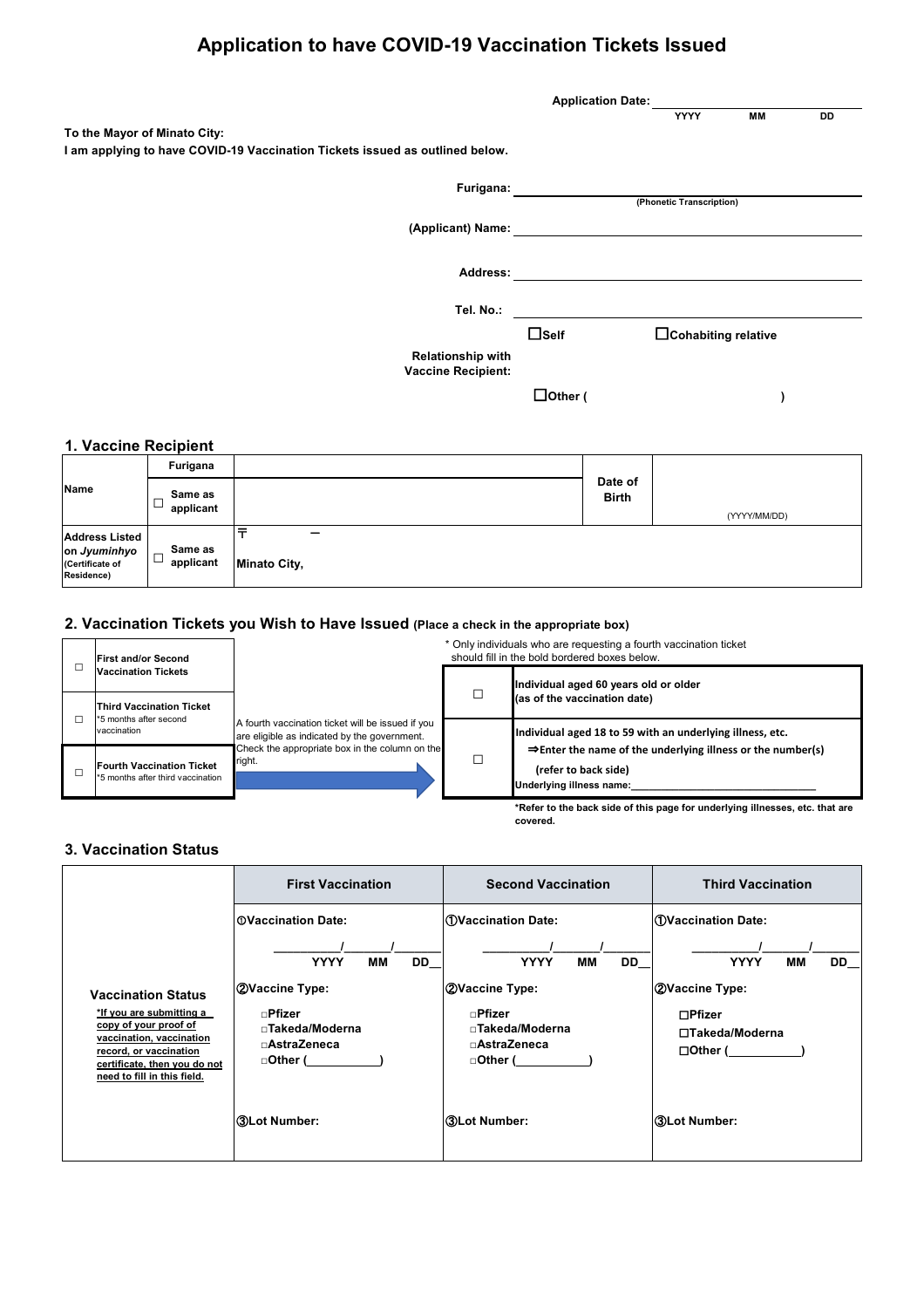# **Application to have COVID-19 Vaccination Tickets Issued**

|                                                                                                              | <b>Application Date:</b> |                          |    |    |
|--------------------------------------------------------------------------------------------------------------|--------------------------|--------------------------|----|----|
| To the Mayor of Minato City:<br>I am applying to have COVID-19 Vaccination Tickets issued as outlined below. |                          | <b>YYYY</b>              | MM | DD |
| Furigana:                                                                                                    |                          | (Phonetic Transcription) |    |    |
| (Applicant) Name:                                                                                            |                          |                          |    |    |
| Address:                                                                                                     |                          |                          |    |    |
| Tel. No.:                                                                                                    |                          |                          |    |    |
|                                                                                                              | $\Box$ Self              | □Cohabiting relative     |    |    |
| <b>Relationship with</b><br><b>Vaccine Recipient:</b>                                                        |                          |                          |    |    |
|                                                                                                              | $\Box$ Other (           |                          |    |    |

## **1. Vaccine Recipient**

|                                                                        | Furigana             |                                                 |                         |              |
|------------------------------------------------------------------------|----------------------|-------------------------------------------------|-------------------------|--------------|
| <b>Name</b>                                                            | Same as<br>applicant |                                                 | Date of<br><b>Birth</b> | (YYYY/MM/DD) |
| <b>Address Listed</b><br>on Jyuminhyo<br>(Certificate of<br>Residence) | Same as<br>applicant | $\overline{\phantom{0}}$<br><b>Minato City,</b> |                         |              |

## **2. Vaccination Tickets you Wish to Have Issued (Place a check in the appropriate box)**

| <b>First and/or Second</b>                                            |                                                                                                   | * Only individuals who are requesting a fourth vaccination ticket<br>should fill in the bold bordered boxes below. |                                                                                                                             |  |
|-----------------------------------------------------------------------|---------------------------------------------------------------------------------------------------|--------------------------------------------------------------------------------------------------------------------|-----------------------------------------------------------------------------------------------------------------------------|--|
| <b>Vaccination Tickets</b>                                            |                                                                                                   | Individual aged 60 years old or older                                                                              |                                                                                                                             |  |
| <b>Third Vaccination Ticket</b><br>*5 months after second             |                                                                                                   |                                                                                                                    | (as of the vaccination date)                                                                                                |  |
| vaccination                                                           | A fourth vaccination ticket will be issued if you<br>are eligible as indicated by the government. |                                                                                                                    | Individual aged 18 to 59 with an underlying illness, etc.                                                                   |  |
| <b>Fourth Vaccination Ticket</b><br>*5 months after third vaccination | Check the appropriate box in the column on the<br>right.                                          |                                                                                                                    | $\Rightarrow$ Enter the name of the underlying illness or the number(s)<br>(refer to back side)<br>Underlying illness name: |  |
|                                                                       |                                                                                                   |                                                                                                                    | *Defects the best still of this case for modeling illusions at a thet cas                                                   |  |

**\*Refer to the back side of this page for underlying illnesses, etc. that are covered.**

## **3. Vaccination Status**

|                                                                                                                                                                                                            | <b>First Vaccination</b>                                                                      | <b>Second Vaccination</b>                                                       | <b>Third Vaccination</b>                                       |  |  |
|------------------------------------------------------------------------------------------------------------------------------------------------------------------------------------------------------------|-----------------------------------------------------------------------------------------------|---------------------------------------------------------------------------------|----------------------------------------------------------------|--|--|
|                                                                                                                                                                                                            | <b>OVaccination Date:</b>                                                                     | l①Vaccination Date:                                                             | <b>10 Vaccination Date:</b>                                    |  |  |
|                                                                                                                                                                                                            | <b>YYYY</b><br>MМ<br>DD.                                                                      | <b>YYYY</b><br>MМ<br>DD                                                         | <b>YYYY</b><br>MМ<br>$DD_$                                     |  |  |
| <b>Vaccination Status</b><br><u>*If you are submitting a</u><br>copy of your proof of<br>vaccination, vaccination<br>record, or vaccination<br>certificate, then you do not<br>need to fill in this field. | <b>2Vaccine Type:</b><br>$\sqcap$ Pfizer<br><b>⊓Takeda/Moderna</b><br>□AstraZeneca<br>□Other( | 2Vaccine Type:<br>⊓Pfizer<br><b>⊓Takeda/Moderna</b><br>□AstraZeneca<br>□Other ( | 2Vaccine Type:<br>□Pfizer<br>□Takeda/Moderna<br>$\Box$ Other ( |  |  |
|                                                                                                                                                                                                            | ③Lot Number:                                                                                  | ③Lot Number:                                                                    | ③Lot Number:                                                   |  |  |